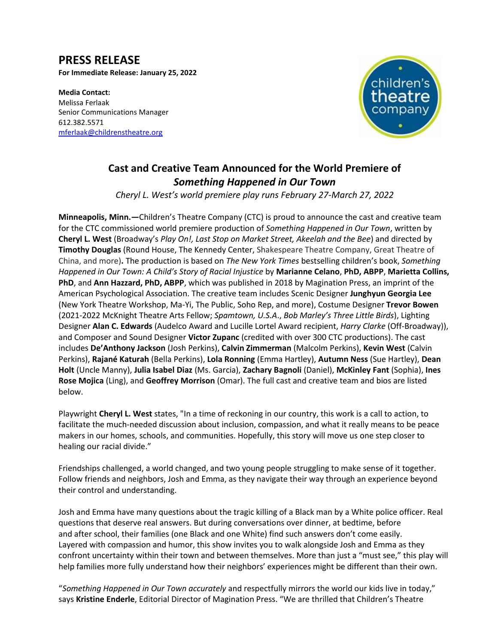# **PRESS RELEASE**

**For Immediate Release: January 25, 2022**

**Media Contact:**  Melissa Ferlaak Senior Communications Manager 612.382.5571 [mferlaak@childrenstheatre.org](mailto:mferlaak@childrenstheatre.org)



# **Cast and Creative Team Announced for the World Premiere of** *Something Happened in Our Town*

*Cheryl L. West's world premiere play runs February 27-March 27, 2022*

**Minneapolis, Minn.—**Children's Theatre Company (CTC) is proud to announce the cast and creative team for the CTC commissioned world premiere production of *Something Happened in Our Town*, written by **Cheryl L. West** (Broadway's *Play On!, Last Stop on Market Street, Akeelah and the Bee*) and directed by **Timothy Douglas** (Round House, The Kennedy Center, Shakespeare Theatre Company, Great Theatre of China, and more)**.** The production is based on *The New York Times* bestselling children's book, *Something Happened in Our Town: A Child's Story of Racial Injustice* by **Marianne Celano**, **PhD, ABPP**, **Marietta Collins, PhD**, and **Ann Hazzard, PhD, ABPP**, which was published in 2018 by Magination Press, an imprint of the American Psychological Association. The creative team includes Scenic Designer **Junghyun Georgia Lee**  (New York Theatre Workshop, Ma-Yi, The Public, Soho Rep, and more), Costume Designer **Trevor Bowen** (2021-2022 McKnight Theatre Arts Fellow; *Spamtown, U.S.A*., *Bob Marley's Three Little Birds*), Lighting Designer **Alan C. Edwards** (Audelco Award and Lucille Lortel Award recipient, *Harry Clarke* (Off-Broadway)), and Composer and Sound Designer **Victor Zupanc** (credited with over 300 CTC productions). The cast includes **De'Anthony Jackson** (Josh Perkins), **Calvin Zimmerman** (Malcolm Perkins), **Kevin West** (Calvin Perkins), **Rajané Katurah** (Bella Perkins), **Lola Ronning** (Emma Hartley), **Autumn Ness** (Sue Hartley), **Dean Holt** (Uncle Manny), **Julia Isabel Diaz** (Ms. Garcia), **Zachary Bagnoli** (Daniel), **McKinley Fant** (Sophia), **Ines Rose Mojica** (Ling), and **Geoffrey Morrison** (Omar). The full cast and creative team and bios are listed below.

Playwright **Cheryl L. West** states, "In a time of reckoning in our country, this work is a call to action, to facilitate the much-needed discussion about inclusion, compassion, and what it really means to be peace makers in our homes, schools, and communities. Hopefully, this story will move us one step closer to healing our racial divide."

Friendships challenged, a world changed, and two young people struggling to make sense of it together. Follow friends and neighbors, Josh and Emma, as they navigate their way through an experience beyond their control and understanding.

Josh and Emma have many questions about the tragic killing of a Black man by a White police officer. Real questions that deserve real answers. But during conversations over dinner, at bedtime, before and after school, their families (one Black and one White) find such answers don't come easily. Layered with compassion and humor, this show invites you to walk alongside Josh and Emma as they confront uncertainty within their town and between themselves. More than just a "must see," this play will help families more fully understand how their neighbors' experiences might be different than their own.

"*Something Happened in Our Town accurately* and respectfully mirrors the world our kids live in today," says **Kristine Enderle**, Editorial Director of Magination Press. "We are thrilled that Children's Theatre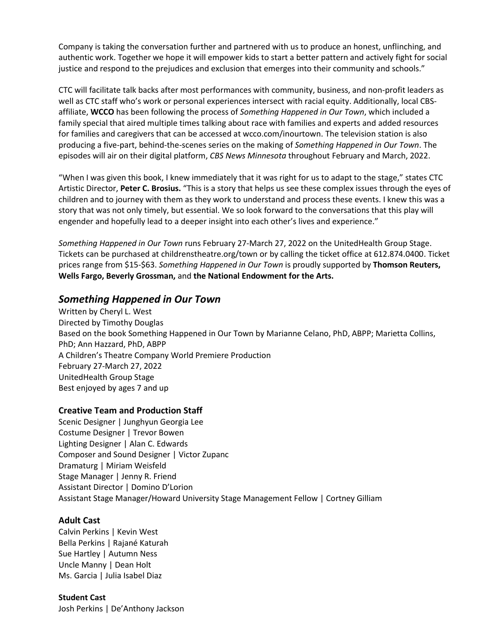Company is taking the conversation further and partnered with us to produce an honest, unflinching, and authentic work. Together we hope it will empower kids to start a better pattern and actively fight for social justice and respond to the prejudices and exclusion that emerges into their community and schools."

CTC will facilitate talk backs after most performances with community, business, and non-profit leaders as well as CTC staff who's work or personal experiences intersect with racial equity. Additionally, local CBSaffiliate, **WCCO** has been following the process of *Something Happened in Our Town*, which included a family special that aired multiple times talking about race with families and experts and added resources for families and caregivers that can be accessed at wcco.com/inourtown. The television station is also producing a five-part, behind-the-scenes series on the making of *Something Happened in Our Town*. The episodes will air on their digital platform, *CBS News Minnesota* throughout February and March, 2022.

"When I was given this book, I knew immediately that it was right for us to adapt to the stage," states CTC Artistic Director, **Peter C. Brosius.** "This is a story that helps us see these complex issues through the eyes of children and to journey with them as they work to understand and process these events. I knew this was a story that was not only timely, but essential. We so look forward to the conversations that this play will engender and hopefully lead to a deeper insight into each other's lives and experience."

*Something Happened in Our Town* runs February 27-March 27, 2022 on the UnitedHealth Group Stage. Tickets can be purchased at childrenstheatre.org/town or by calling the ticket office at 612.874.0400. Ticket prices range from \$15-\$63. *Something Happened in Our Town* is proudly supported by **Thomson Reuters, Wells Fargo, Beverly Grossman,** and **the National Endowment for the Arts.**

# *Something Happened in Our Town*

Written by Cheryl L. West Directed by Timothy Douglas Based on the book Something Happened in Our Town by Marianne Celano, PhD, ABPP; Marietta Collins, PhD; Ann Hazzard, PhD, ABPP A Children's Theatre Company World Premiere Production February 27-March 27, 2022 UnitedHealth Group Stage Best enjoyed by ages 7 and up

# **Creative Team and Production Staff**

Scenic Designer | Junghyun Georgia Lee Costume Designer | Trevor Bowen Lighting Designer | Alan C. Edwards Composer and Sound Designer | Victor Zupanc Dramaturg | Miriam Weisfeld Stage Manager | Jenny R. Friend Assistant Director | Domino D'Lorion Assistant Stage Manager/Howard University Stage Management Fellow | Cortney Gilliam

# **Adult Cast**

Calvin Perkins | Kevin West Bella Perkins | Rajané Katurah Sue Hartley | Autumn Ness Uncle Manny | Dean Holt Ms. Garcia | Julia Isabel Diaz

**Student Cast** Josh Perkins | De'Anthony Jackson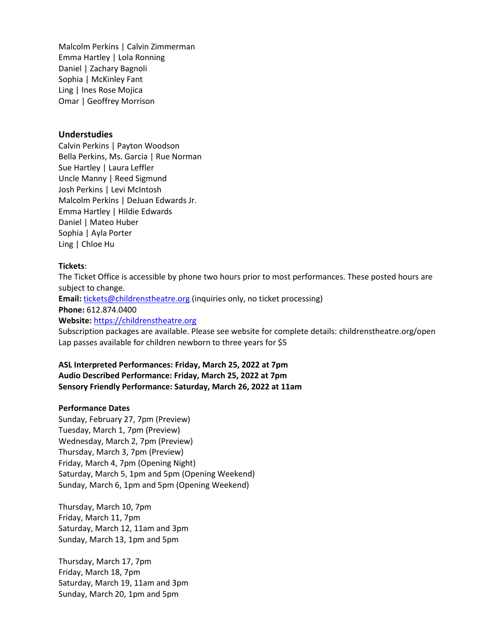Malcolm Perkins | Calvin Zimmerman Emma Hartley | Lola Ronning Daniel | Zachary Bagnoli Sophia | McKinley Fant Ling | Ines Rose Mojica Omar | Geoffrey Morrison

#### **Understudies**

Calvin Perkins | Payton Woodson Bella Perkins, Ms. Garcia | Rue Norman Sue Hartley | Laura Leffler Uncle Manny | Reed Sigmund Josh Perkins | Levi McIntosh Malcolm Perkins | DeJuan Edwards Jr. Emma Hartley | Hildie Edwards Daniel | Mateo Huber Sophia | Ayla Porter Ling | Chloe Hu

#### **Tickets**:

The Ticket Office is accessible by phone two hours prior to most performances. These posted hours are subject to change.

Email: [tickets@childrenstheatre.org](mailto:tickets@childrenstheatre.org) (inquiries only, no ticket processing)

**Phone:** 612.874.0400

**Website:** [https://childrenstheatre.org](https://childrenstheatre.org/)

Subscription packages are available. Please see website for complete details: childrenstheatre.org/open Lap passes available for children newborn to three years for \$5

**ASL Interpreted Performances: Friday, March 25, 2022 at 7pm Audio Described Performance: Friday, March 25, 2022 at 7pm Sensory Friendly Performance: Saturday, March 26, 2022 at 11am**

#### **Performance Dates**

Sunday, February 27, 7pm (Preview) Tuesday, March 1, 7pm (Preview) Wednesday, March 2, 7pm (Preview) Thursday, March 3, 7pm (Preview) Friday, March 4, 7pm (Opening Night) Saturday, March 5, 1pm and 5pm (Opening Weekend) Sunday, March 6, 1pm and 5pm (Opening Weekend)

Thursday, March 10, 7pm Friday, March 11, 7pm Saturday, March 12, 11am and 3pm Sunday, March 13, 1pm and 5pm

Thursday, March 17, 7pm Friday, March 18, 7pm Saturday, March 19, 11am and 3pm Sunday, March 20, 1pm and 5pm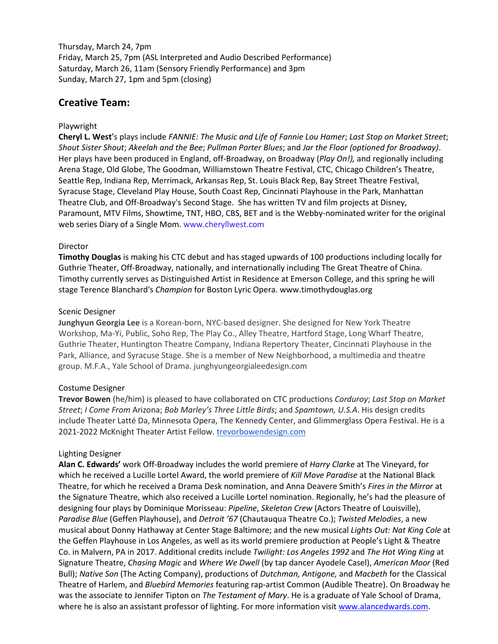Thursday, March 24, 7pm Friday, March 25, 7pm (ASL Interpreted and Audio Described Performance) Saturday, March 26, 11am (Sensory Friendly Performance) and 3pm Sunday, March 27, 1pm and 5pm (closing)

# **Creative Team:**

# Playwright

**Cheryl L. West**'s plays include *FANNIE: The Music and Life of Fannie Lou Hamer*; *Last Stop on Market Street*; *Shout Sister Shout*; *Akeelah and the Bee*; *Pullman Porter Blues*; and *Jar the Floor (optioned for Broadway)*. Her plays have been produced in England, off-Broadway, on Broadway (*Play On!),* and regionally including Arena Stage, Old Globe, The Goodman, Williamstown Theatre Festival, CTC, Chicago Children's Theatre, Seattle Rep, Indiana Rep, Merrimack, Arkansas Rep, St. Louis Black Rep, Bay Street Theatre Festival, Syracuse Stage, Cleveland Play House, South Coast Rep, Cincinnati Playhouse in the Park, Manhattan Theatre Club, and Off‐Broadway's Second Stage. She has written TV and film projects at Disney, Paramount, MTV Films, Showtime, TNT, HBO, CBS, BET and is the Webby-nominated writer for the original web series Diary of a Single Mom. www.cheryllwest.com

#### Director

**Timothy Douglas** is making his CTC debut and has staged upwards of 100 productions including locally for Guthrie Theater, Off-Broadway, nationally, and internationally including The Great Theatre of China. Timothy currently serves as Distinguished Artist in Residence at Emerson College, and this spring he will stage Terence Blanchard's *Champion* for Boston Lyric Opera. www.timothydouglas.org

#### Scenic Designer

**Junghyun Georgia Lee** is a Korean-born, NYC-based designer. She designed for New York Theatre Workshop, Ma-Yi, Public, Soho Rep, The Play Co., Alley Theatre, Hartford Stage, Long Wharf Theatre, Guthrie Theater, Huntington Theatre Company, Indiana Repertory Theater, Cincinnati Playhouse in the Park, Alliance, and Syracuse Stage. She is a member of New Neighborhood, a multimedia and theatre group. M.F.A., Yale School of Drama. junghyungeorgialeedesign.com

# Costume Designer

**Trevor Bowen** (he/him) is pleased to have collaborated on CTC productions *Corduroy*; *Last Stop on Market Street*; *I Come From* Arizona; *Bob Marley's Three Little Birds*; and *Spamtown, U.S.A*. His design credits include Theater Latté Da, Minnesota Opera, The Kennedy Center, and Glimmerglass Opera Festival. He is a 2021-2022 McKnight Theater Artist Fellow. [trevorbowendesign.com](http://www.trevorbowendesign.com/)

# Lighting Designer

**Alan C. Edwards'** work Off-Broadway includes the world premiere of *Harry Clarke* at The Vineyard, for which he received a Lucille Lortel Award, the world premiere of *Kill Move Paradise* at the National Black Theatre, for which he received a Drama Desk nomination, and Anna Deavere Smith's *Fires in the Mirror* at the Signature Theatre, which also received a Lucille Lortel nomination. Regionally, he's had the pleasure of designing four plays by Dominique Morisseau: *Pipeline*, *Skeleton Crew* (Actors Theatre of Louisville), *Paradise Blue* (Geffen Playhouse), and *Detroit '67* (Chautauqua Theatre Co.); *Twisted Melodies*, a new musical about Donny Hathaway at Center Stage Baltimore; and the new musical *Lights Out: Nat King Cole* at the Geffen Playhouse in Los Angeles, as well as its world premiere production at People's Light & Theatre Co. in Malvern, PA in 2017. Additional credits include *Twilight: Los Angeles 1992* and *The Hot Wing King* at Signature Theatre, *Chasing Magic* and *Where We Dwell* (by tap dancer Ayodele Casel), *American Moor* (Red Bull); *Native Son* (The Acting Company), productions of *Dutchman, Antigone,* and *Macbeth* for the Classical Theatre of Harlem, and *Bluebird Memories* featuring rap-artist Common (Audible Theatre). On Broadway he was the associate to Jennifer Tipton on *The Testament of Mary*. He is a graduate of Yale School of Drama, where he is also an assistant professor of lighting. For more information visit [www.alancedwards.com.](http://www.alancedwards.com/)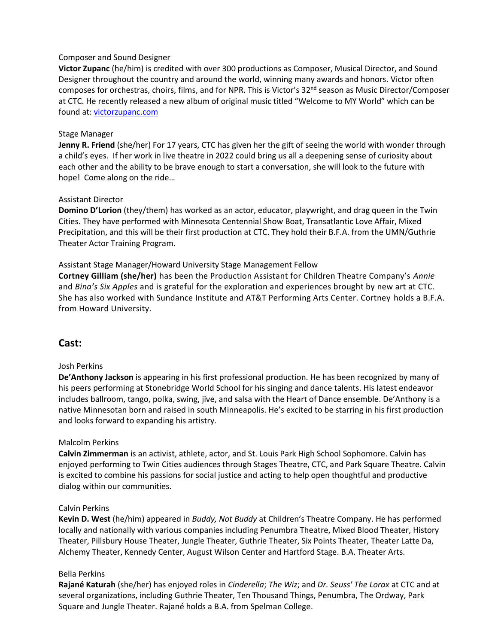#### Composer and Sound Designer

**Victor Zupanc** (he/him) is credited with over 300 productions as Composer, Musical Director, and Sound Designer throughout the country and around the world, winning many awards and honors. Victor often composes for orchestras, choirs, films, and for NPR. This is Victor's 32<sup>nd</sup> season as Music Director/Composer at CTC. He recently released a new album of original music titled "Welcome to MY World" which can be found at: [victorzupanc.com](http://victorzupanc.com/)

#### Stage Manager

**Jenny R. Friend** (she/her) For 17 years, CTC has given her the gift of seeing the world with wonder through a child's eyes. If her work in live theatre in 2022 could bring us all a deepening sense of curiosity about each other and the ability to be brave enough to start a conversation, she will look to the future with hope! Come along on the ride…

# Assistant Director

**Domino D'Lorion** (they/them) has worked as an actor, educator, playwright, and drag queen in the Twin Cities. They have performed with Minnesota Centennial Show Boat, Transatlantic Love Affair, Mixed Precipitation, and this will be their first production at CTC. They hold their B.F.A. from the UMN/Guthrie Theater Actor Training Program.

#### Assistant Stage Manager/Howard University Stage Management Fellow

**Cortney Gilliam (she/her)** has been the Production Assistant for Children Theatre Company's *Annie* and *Bina's Six Apples* and is grateful for the exploration and experiences brought by new art at CTC. She has also worked with Sundance Institute and AT&T Performing Arts Center. Cortney holds a B.F.A. from Howard University.

# **Cast:**

# Josh Perkins

**De'Anthony Jackson** is appearing in his first professional production. He has been recognized by many of his peers performing at Stonebridge World School for his singing and dance talents. His latest endeavor includes ballroom, tango, polka, swing, jive, and salsa with the Heart of Dance ensemble. De'Anthony is a native Minnesotan born and raised in south Minneapolis. He's excited to be starring in his first production and looks forward to expanding his artistry.

# Malcolm Perkins

**Calvin Zimmerman** is an activist, athlete, actor, and St. Louis Park High School Sophomore. Calvin has enjoyed performing to Twin Cities audiences through Stages Theatre, CTC, and Park Square Theatre. Calvin is excited to combine his passions for social justice and acting to help open thoughtful and productive dialog within our communities.

#### Calvin Perkins

**Kevin D. West** (he/him) appeared in *Buddy, Not Buddy* at Children's Theatre Company. He has performed locally and nationally with various companies including Penumbra Theatre, Mixed Blood Theater, History Theater, Pillsbury House Theater, Jungle Theater, Guthrie Theater, Six Points Theater, Theater Latte Da, Alchemy Theater, Kennedy Center, August Wilson Center and Hartford Stage. B.A. Theater Arts.

#### Bella Perkins

**Rajané Katurah** (she/her) has enjoyed roles in *Cinderella*; *The Wiz*; and *Dr. Seuss' The Lorax* at CTC and at several organizations, including Guthrie Theater, Ten Thousand Things, Penumbra, The Ordway, Park Square and Jungle Theater. Rajané holds a B.A. from Spelman College.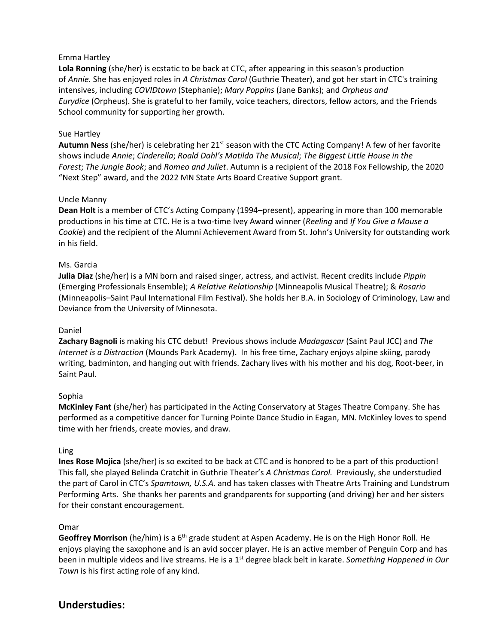# Emma Hartley

Lola Ronning (she/her) is ecstatic to be back at CTC, after appearing in this season's production of *Annie.* She has enjoyed roles in *A Christmas Carol* (Guthrie Theater), and got her start in CTC's training intensives, including *COVIDtown* (Stephanie); *Mary Poppins* (Jane Banks); and *Orpheus and Eurydice* (Orpheus). She is grateful to her family, voice teachers, directors, fellow actors, and the Friends School community for supporting her growth.

#### Sue Hartley

**Autumn Ness** (she/her) is celebrating her 21st season with the CTC Acting Company! A few of her favorite shows include *Annie*; *Cinderella*; *Roald Dahl's Matilda The Musical*; *The Biggest Little House in the Forest*; *The Jungle Book*; and *Romeo and Juliet*. Autumn is a recipient of the 2018 Fox Fellowship, the 2020 "Next Step" award, and the 2022 MN State Arts Board Creative Support grant.

#### Uncle Manny

**Dean Holt** is a member of CTC's Acting Company (1994–present), appearing in more than 100 memorable productions in his time at CTC. He is a two-time Ivey Award winner (*Reeling* and *If You Give a Mouse a Cookie*) and the recipient of the Alumni Achievement Award from St. John's University for outstanding work in his field.

#### Ms. Garcia

**Julia Diaz** (she/her) is a MN born and raised singer, actress, and activist. Recent credits include *Pippin* (Emerging Professionals Ensemble); *A Relative Relationship* (Minneapolis Musical Theatre); & *Rosario* (Minneapolis–Saint Paul International Film Festival). She holds her B.A. in Sociology of Criminology, Law and Deviance from the University of Minnesota.

#### Daniel

**Zachary Bagnoli** is making his CTC debut! Previous shows include *Madagascar* (Saint Paul JCC) and *The Internet is a Distraction* (Mounds Park Academy). In his free time, Zachary enjoys alpine skiing, parody writing, badminton, and hanging out with friends. Zachary lives with his mother and his dog, Root-beer, in Saint Paul.

#### Sophia

**McKinley Fant** (she/her) has participated in the Acting Conservatory at Stages Theatre Company. She has performed as a competitive dancer for Turning Pointe Dance Studio in Eagan, MN. McKinley loves to spend time with her friends, create movies, and draw.

#### Ling

**Ines Rose Mojica** (she/her) is so excited to be back at CTC and is honored to be a part of this production! This fall, she played Belinda Cratchit in Guthrie Theater's *A Christmas Carol.* Previously, she understudied the part of Carol in CTC's *Spamtown, U.S.A.* and has taken classes with Theatre Arts Training and Lundstrum Performing Arts. She thanks her parents and grandparents for supporting (and driving) her and her sisters for their constant encouragement.

#### Omar

**Geoffrey Morrison** (he/him) is a 6<sup>th</sup> grade student at Aspen Academy. He is on the High Honor Roll. He enjoys playing the saxophone and is an avid soccer player. He is an active member of Penguin Corp and has been in multiple videos and live streams. He is a 1st degree black belt in karate. *Something Happened in Our Town* is his first acting role of any kind.

# **Understudies:**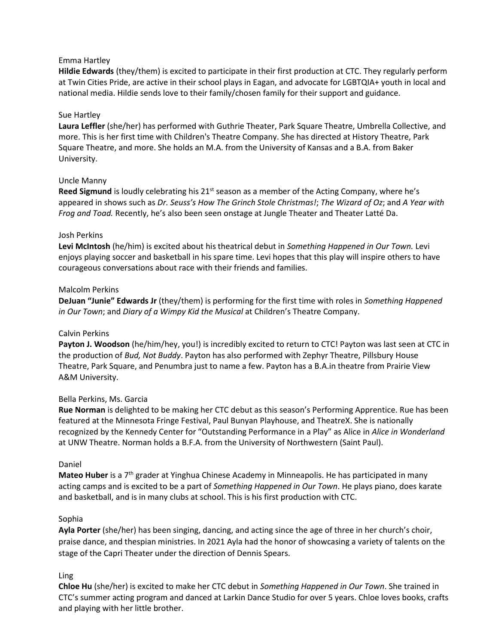# Emma Hartley

**Hildie Edwards** (they/them) is excited to participate in their first production at CTC. They regularly perform<br>Hil**die Edwards** (they/them) is excited to participate in their first production at CTC. They regularly perfor at Twin Cities Pride, are active in their school plays in Eagan, and advocate for LGBTQIA+ youth in local and<br>at Twin Cities Pride, are active in their school plays in Eagan, and advocate for LGBTQIA+ youth in local and ach minested theo, are done in their concerpings in Eugen, and decoded for Economy countinuous, and<br>national media. Hildie sends love to their family/chosen family for their support and guidance.

# Sue Hartley

**Laura Leffler** (she/her) has performed with Guthrie Theater, Park Square Theatre, Umbrella Collective, and more. This is her first time with Children's Theatre Company. She has directed at History Theatre, Park Square Theatre, and more. She holds an M.A. from the University of Kansas and a B.A. from Baker University.

# Uncle Manny

Reed Sigmund is loudly celebrating his 21<sup>st</sup> season as a member of the Acting Company, where he's appeared in shows such as *Dr. Seuss's How The Grinch Stole Christmas!*; *The Wizard of Oz*; and *A Year with Frog and Toad.* Recently, he's also been seen onstage at Jungle Theater and Theater Latté Da.

# Josh Perkins

**Levi McIntosh** (he/him) is excited about his theatrical debut in *Something Happened in Our Town.* Levi enjoys playing soccer and basketball in his spare time. Levi hopes that this play will inspire others to have courageous conversations about race with their friends and families.

# Malcolm Perkins

**DeJuan "Junie" Edwards Jr** (they/them) is performing for the first time with roles in *Something Happened in Our Town*; and *Diary of a Wimpy Kid the Musical* at Children's Theatre Company.

# Calvin Perkins

**Payton J. Woodson** (he/him/hey, you!) is incredibly excited to return to CTC! Payton was last seen at CTC in the production of *Bud, Not Buddy*. Payton has also performed with Zephyr Theatre, Pillsbury House Theatre, Park Square, and Penumbra just to name a few. Payton has a B.A.in theatre from Prairie View A&M University.

# Bella Perkins, Ms. Garcia

**Rue Norman** is delighted to be making her CTC debut as this season's Performing Apprentice. Rue has been featured at the Minnesota Fringe Festival, Paul Bunyan Playhouse, and TheatreX. She is nationally recognized by the Kennedy Center for "Outstanding Performance in a Play" as Alice in *Alice in Wonderland* at UNW Theatre. Norman holds a B.F.A. from the University of Northwestern (Saint Paul).

# Daniel

**Mateo Huber** is a 7<sup>th</sup> grader at Yinghua Chinese Academy in Minneapolis. He has participated in many acting camps and is excited to be a part of *Something Happened in Our Town*. He plays piano, does karate and basketball, and is in many clubs at school. This is his first production with CTC.

# Sophia

**Ayla Porter** (she/her) has been singing, dancing, and acting since the age of three in her church's choir, praise dance, and thespian ministries. In 2021 Ayla had the honor of showcasing a variety of talents on the stage of the Capri Theater under the direction of Dennis Spears.

# Ling

**Chloe Hu** (she/her) is excited to make her CTC debut in *Something Happened in Our Town*. She trained in CTC's summer acting program and danced at Larkin Dance Studio for over 5 years. Chloe loves books, crafts and playing with her little brother.